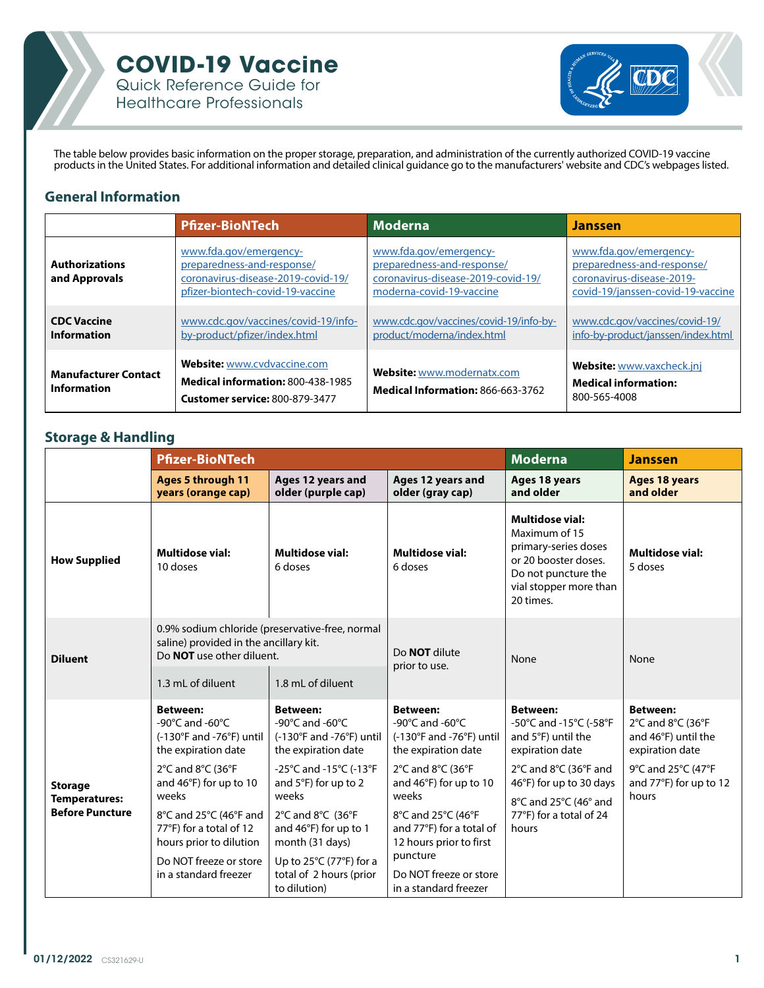



The table below provides basic information on the proper storage, preparation, and administration of the currently authorized COVID-19 vaccine products in the United States. For additional information and detailed clinical guidance go to the manufacturers' website and CDC's webpages listed.

### **General Information**

|                                                   | <b>Pfizer-BioNTech</b>                                                                                                         | <b>Moderna</b>                                                                                                         | <b>Janssen</b>                                                                                                         |
|---------------------------------------------------|--------------------------------------------------------------------------------------------------------------------------------|------------------------------------------------------------------------------------------------------------------------|------------------------------------------------------------------------------------------------------------------------|
| <b>Authorizations</b><br>and Approvals            | www.fda.gov/emergency-<br>preparedness-and-response/<br>coronavirus-disease-2019-covid-19/<br>pfizer-biontech-covid-19-vaccine | www.fda.gov/emergency-<br>preparedness-and-response/<br>coronavirus-disease-2019-covid-19/<br>moderna-covid-19-vaccine | www.fda.gov/emergency-<br>preparedness-and-response/<br>coronavirus-disease-2019-<br>covid-19/janssen-covid-19-vaccine |
| <b>CDC Vaccine</b><br><b>Information</b>          | www.cdc.gov/vaccines/covid-19/info-<br>by-product/pfizer/index.html                                                            | www.cdc.gov/vaccines/covid-19/info-by-<br>product/moderna/index.html                                                   | www.cdc.gov/vaccines/covid-19/<br>info-by-product/janssen/index.html                                                   |
| <b>Manufacturer Contact</b><br><b>Information</b> | <b>Website:</b> www.cvdvaccine.com<br><b>Medical information: 800-438-1985</b><br>Customer service: 800-879-3477               | Website: www.modernatx.com<br><b>Medical Information: 866-663-3762</b>                                                 | Website: www.vaxcheck.jnj<br><b>Medical information:</b><br>800-565-4008                                               |

### **Storage & Handling**

|                                                                  | <b>Pfizer-BioNTech</b>                                                                                                          |                                                                                                           |                                                                                                           | <b>Janssen</b>                                                                                                                                        |                                                                                                               |
|------------------------------------------------------------------|---------------------------------------------------------------------------------------------------------------------------------|-----------------------------------------------------------------------------------------------------------|-----------------------------------------------------------------------------------------------------------|-------------------------------------------------------------------------------------------------------------------------------------------------------|---------------------------------------------------------------------------------------------------------------|
|                                                                  | <b>Ages 5 through 11</b><br>years (orange cap)                                                                                  | Ages 12 years and<br>older (purple cap)                                                                   | Ages 12 years and<br>older (gray cap)                                                                     | Ages 18 years<br>and older                                                                                                                            | <b>Ages 18 years</b><br>and older                                                                             |
| <b>How Supplied</b>                                              | <b>Multidose vial:</b><br>10 doses                                                                                              | <b>Multidose vial:</b><br>6 doses                                                                         | <b>Multidose vial:</b><br>6 doses                                                                         | <b>Multidose vial:</b><br>Maximum of 15<br>primary-series doses<br>or 20 booster doses.<br>Do not puncture the<br>vial stopper more than<br>20 times. | <b>Multidose vial:</b><br>5 doses                                                                             |
| <b>Diluent</b>                                                   | 0.9% sodium chloride (preservative-free, normal<br>saline) provided in the ancillary kit.<br>Do <b>NOT</b> use other diluent.   |                                                                                                           | Do <b>NOT</b> dilute<br>prior to use.                                                                     | None                                                                                                                                                  | None                                                                                                          |
|                                                                  | 1.3 mL of diluent                                                                                                               | 1.8 mL of diluent                                                                                         |                                                                                                           |                                                                                                                                                       |                                                                                                               |
| <b>Storage</b><br><b>Temperatures:</b><br><b>Before Puncture</b> | <b>Between:</b><br>-90 $^{\circ}$ C and -60 $^{\circ}$ C<br>$(-130^{\circ}$ F and $-76^{\circ}$ F) until<br>the expiration date | <b>Between:</b><br>-90 $\degree$ C and -60 $\degree$ C<br>(-130°F and -76°F) until<br>the expiration date | <b>Between:</b><br>-90 $\degree$ C and -60 $\degree$ C<br>(-130°F and -76°F) until<br>the expiration date | <b>Between:</b><br>-50°C and -15°C (-58°F<br>and 5°F) until the<br>expiration date                                                                    | <b>Between:</b><br>$2^{\circ}$ C and $8^{\circ}$ C (36 $^{\circ}$ F<br>and 46°F) until the<br>expiration date |
|                                                                  | 2°C and 8°C (36°F<br>and 46°F) for up to 10<br>weeks                                                                            | -25°C and -15°C (-13°F<br>and 5°F) for up to 2<br>weeks                                                   | 2°C and 8°C (36°F<br>and 46°F) for up to 10<br>weeks                                                      | 2°C and 8°C (36°F and<br>46°F) for up to 30 days<br>8°C and 25°C (46° and                                                                             | 9°C and 25°C (47°F<br>and 77°F) for up to 12<br>hours                                                         |
|                                                                  | 8°C and 25°C (46°F and<br>77°F) for a total of 12<br>hours prior to dilution                                                    | 2°C and 8°C (36°F<br>and 46°F) for up to 1<br>month (31 days)                                             | 8°C and 25°C (46°F<br>and 77°F) for a total of<br>12 hours prior to first                                 | 77°F) for a total of 24<br>hours                                                                                                                      |                                                                                                               |
|                                                                  | Do NOT freeze or store<br>in a standard freezer                                                                                 | Up to $25^{\circ}$ C (77 $^{\circ}$ F) for a<br>total of 2 hours (prior<br>to dilution)                   | puncture<br>Do NOT freeze or store<br>in a standard freezer                                               |                                                                                                                                                       |                                                                                                               |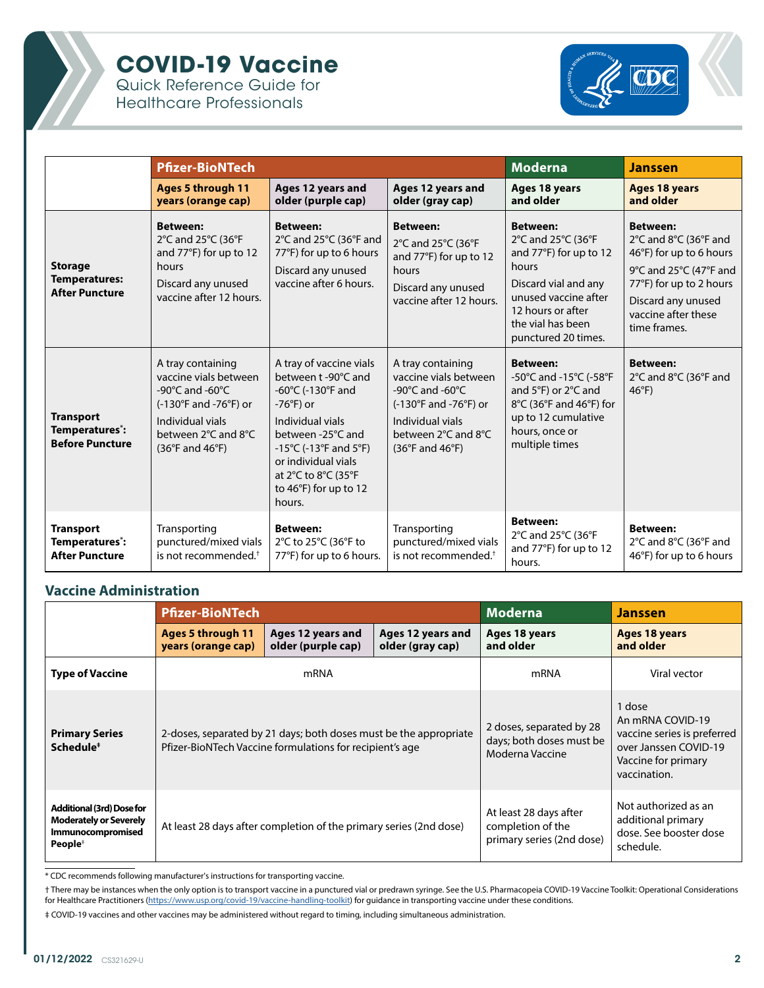

# **COVID-19 Vaccine**

Quick Reference Guide for Healthcare Professionals



|                                                                 | <b>Pfizer-BioNTech</b>                                                                                                                                                                                            |                                                                                                                                                                                                                                                                                                   |                                                                                                                                                                                                                        | <b>Moderna</b>                                                                                                                                                                            | <b>Janssen</b>                                                                                                                                                                                                       |
|-----------------------------------------------------------------|-------------------------------------------------------------------------------------------------------------------------------------------------------------------------------------------------------------------|---------------------------------------------------------------------------------------------------------------------------------------------------------------------------------------------------------------------------------------------------------------------------------------------------|------------------------------------------------------------------------------------------------------------------------------------------------------------------------------------------------------------------------|-------------------------------------------------------------------------------------------------------------------------------------------------------------------------------------------|----------------------------------------------------------------------------------------------------------------------------------------------------------------------------------------------------------------------|
|                                                                 | <b>Ages 5 through 11</b><br>years (orange cap)                                                                                                                                                                    | Ages 12 years and<br>older (purple cap)                                                                                                                                                                                                                                                           | Ages 12 years and<br>older (gray cap)                                                                                                                                                                                  | Ages 18 years<br>and older                                                                                                                                                                | <b>Ages 18 years</b><br>and older                                                                                                                                                                                    |
| <b>Storage</b><br><b>Temperatures:</b><br><b>After Puncture</b> | <b>Between:</b><br>2°C and 25°C (36°F<br>and 77°F) for up to 12<br>hours<br>Discard any unused<br>vaccine after 12 hours.                                                                                         | <b>Between:</b><br>2°C and 25°C (36°F and<br>77°F) for up to 6 hours<br>Discard any unused<br>vaccine after 6 hours.                                                                                                                                                                              | <b>Between:</b><br>2°C and 25°C (36°F<br>and 77°F) for up to 12<br>hours<br>Discard any unused<br>vaccine after 12 hours.                                                                                              | <b>Between:</b><br>2°C and 25°C (36°F<br>and 77°F) for up to 12<br>hours<br>Discard vial and any<br>unused vaccine after<br>12 hours or after<br>the vial has been<br>punctured 20 times. | <b>Between:</b><br>$2^{\circ}$ C and $8^{\circ}$ C (36 $^{\circ}$ F and<br>46°F) for up to 6 hours<br>9°C and 25°C (47°F and<br>77°F) for up to 2 hours<br>Discard any unused<br>vaccine after these<br>time frames. |
| <b>Transport</b><br>Temperatures*:<br><b>Before Puncture</b>    | A tray containing<br>vaccine vials between<br>-90 $\degree$ C and -60 $\degree$ C<br>$(-130^{\circ}$ F and -76 $^{\circ}$ F) or<br>Individual vials<br>between 2°C and 8°C<br>$(36^{\circ}$ F and $46^{\circ}$ F) | A tray of vaccine vials<br>between t-90°C and<br>-60 $\degree$ C (-130 $\degree$ F and<br>$-76^{\circ}$ F) or<br>Individual vials<br>between -25°C and<br>-15 $^{\circ}$ C (-13 $^{\circ}$ F and 5 $^{\circ}$ F)<br>or individual vials<br>at 2°C to 8°C (35°F<br>to 46°F) for up to 12<br>hours. | A tray containing<br>vaccine vials between<br>-90 $\degree$ C and -60 $\degree$ C<br>$(-130^{\circ}$ F and -76 $^{\circ}$ F) or<br>Individual vials<br>between 2°C and 8°C<br>$(36^{\circ}F \text{ and } 46^{\circ}F)$ | <b>Between:</b><br>-50°C and -15°C (-58°F<br>and $5^{\circ}F$ ) or $2^{\circ}C$ and<br>8°C (36°F and 46°F) for<br>up to 12 cumulative<br>hours, once or<br>multiple times                 | <b>Between:</b><br>2°C and 8°C (36°F and<br>$46^{\circ}$ F)                                                                                                                                                          |
| <b>Transport</b><br>Temperatures*:<br><b>After Puncture</b>     | Transporting<br>punctured/mixed vials<br>is not recommended. <sup>†</sup>                                                                                                                                         | <b>Between:</b><br>2°C to 25°C (36°F to<br>77°F) for up to 6 hours.                                                                                                                                                                                                                               | Transporting<br>punctured/mixed vials<br>is not recommended. <sup>+</sup>                                                                                                                                              | <b>Between:</b><br>2°C and 25°C (36°F<br>and 77°F) for up to 12<br>hours.                                                                                                                 | <b>Between:</b><br>2°C and 8°C (36°F and<br>46°F) for up to 6 hours                                                                                                                                                  |

#### **Vaccine Administration**

|                                                                                                               | <b>Pfizer-BioNTech</b>                                                                                                        |                                                                    |                                       | <b>Moderna</b>                                                           | <b>Janssen</b>                                                                                                            |
|---------------------------------------------------------------------------------------------------------------|-------------------------------------------------------------------------------------------------------------------------------|--------------------------------------------------------------------|---------------------------------------|--------------------------------------------------------------------------|---------------------------------------------------------------------------------------------------------------------------|
|                                                                                                               | <b>Ages 5 through 11</b><br>years (orange cap)                                                                                | Ages 12 years and<br>older (purple cap)                            | Ages 12 years and<br>older (gray cap) | Ages 18 years<br>and older                                               | Ages 18 years<br>and older                                                                                                |
| <b>Type of Vaccine</b>                                                                                        | mRNA                                                                                                                          |                                                                    |                                       | mRNA                                                                     | Viral vector                                                                                                              |
| <b>Primary Series</b><br>Schedule <sup>#</sup>                                                                | 2-doses, separated by 21 days; both doses must be the appropriate<br>Pfizer-BioNTech Vaccine formulations for recipient's age |                                                                    |                                       | 2 doses, separated by 28<br>days; both doses must be<br>Moderna Vaccine  | 1 dose<br>An mRNA COVID-19<br>vaccine series is preferred<br>over Janssen COVID-19<br>Vaccine for primary<br>vaccination. |
| <b>Additional (3rd) Dose for</b><br><b>Moderately or Severely</b><br>Immunocompromised<br>People <sup>+</sup> |                                                                                                                               | At least 28 days after completion of the primary series (2nd dose) |                                       | At least 28 days after<br>completion of the<br>primary series (2nd dose) | Not authorized as an<br>additional primary<br>dose. See booster dose<br>schedule.                                         |

\* CDC recommends following manufacturer's instructions for transporting vaccine.

† There may be instances when the only option is to transport vaccine in a punctured vial or predrawn syringe. See the U.S. Pharmacopeia COVID-19 Vaccine Toolkit: Operational Considerations for Healthcare Practitioners ([https://www.usp.org/covid-19/vaccine-handling-toolkit\)](https://www.usp.org/covid-19/vaccine-handling-toolkit) for guidance in transporting vaccine under these conditions.

‡ COVID-19 vaccines and other vaccines may be administered without regard to timing, including simultaneous administration.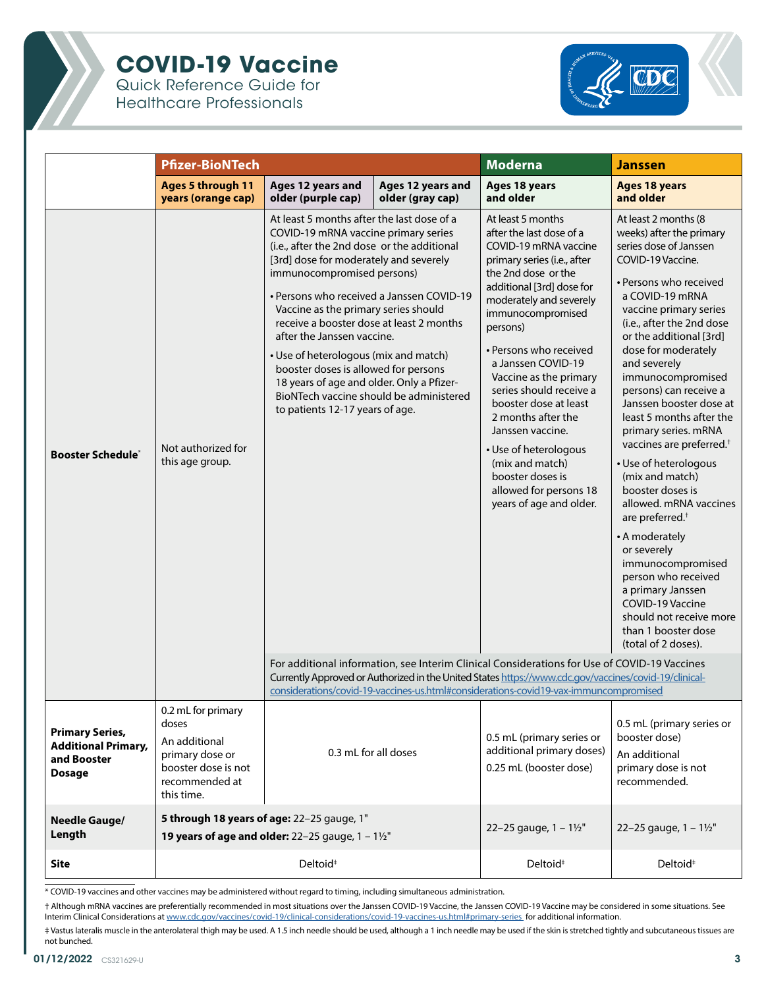

# **COVID-19 Vaccine**

Quick Reference Guide for Healthcare Professionals



|                                                                                      | <b>Pfizer-BioNTech</b>                                                                                                 |                                                                                                                                                                                                                                                                                                                                                                                                                                                                                                                                                                                      |                                       | <b>Moderna</b>                                                                                                                                                                                                                                                                                                                                                                                                                                                                                                     | <b>Janssen</b>                                                                                                                                                                                                                                                                                                                                                                                                                                                                                                                                                                                                                                                                                                                                                      |  |
|--------------------------------------------------------------------------------------|------------------------------------------------------------------------------------------------------------------------|--------------------------------------------------------------------------------------------------------------------------------------------------------------------------------------------------------------------------------------------------------------------------------------------------------------------------------------------------------------------------------------------------------------------------------------------------------------------------------------------------------------------------------------------------------------------------------------|---------------------------------------|--------------------------------------------------------------------------------------------------------------------------------------------------------------------------------------------------------------------------------------------------------------------------------------------------------------------------------------------------------------------------------------------------------------------------------------------------------------------------------------------------------------------|---------------------------------------------------------------------------------------------------------------------------------------------------------------------------------------------------------------------------------------------------------------------------------------------------------------------------------------------------------------------------------------------------------------------------------------------------------------------------------------------------------------------------------------------------------------------------------------------------------------------------------------------------------------------------------------------------------------------------------------------------------------------|--|
|                                                                                      | <b>Ages 5 through 11</b><br>years (orange cap)                                                                         | Ages 12 years and<br>older (purple cap)                                                                                                                                                                                                                                                                                                                                                                                                                                                                                                                                              | Ages 12 years and<br>older (gray cap) | Ages 18 years<br>and older                                                                                                                                                                                                                                                                                                                                                                                                                                                                                         | <b>Ages 18 years</b><br>and older                                                                                                                                                                                                                                                                                                                                                                                                                                                                                                                                                                                                                                                                                                                                   |  |
| <b>Booster Schedule*</b>                                                             | Not authorized for<br>this age group.                                                                                  | At least 5 months after the last dose of a<br>COVID-19 mRNA vaccine primary series<br>(i.e., after the 2nd dose or the additional<br>[3rd] dose for moderately and severely<br>immunocompromised persons)<br>· Persons who received a Janssen COVID-19<br>Vaccine as the primary series should<br>receive a booster dose at least 2 months<br>after the Janssen vaccine.<br>• Use of heterologous (mix and match)<br>booster doses is allowed for persons<br>18 years of age and older. Only a Pfizer-<br>BioNTech vaccine should be administered<br>to patients 12-17 years of age. |                                       | At least 5 months<br>after the last dose of a<br>COVID-19 mRNA vaccine<br>primary series (i.e., after<br>the 2nd dose or the<br>additional [3rd] dose for<br>moderately and severely<br>immunocompromised<br>persons)<br>• Persons who received<br>a Janssen COVID-19<br>Vaccine as the primary<br>series should receive a<br>booster dose at least<br>2 months after the<br>Janssen vaccine.<br>• Use of heterologous<br>(mix and match)<br>booster doses is<br>allowed for persons 18<br>years of age and older. | At least 2 months (8<br>weeks) after the primary<br>series dose of Janssen<br>COVID-19 Vaccine.<br>• Persons who received<br>a COVID-19 mRNA<br>vaccine primary series<br>(i.e., after the 2nd dose<br>or the additional [3rd]<br>dose for moderately<br>and severely<br>immunocompromised<br>persons) can receive a<br>Janssen booster dose at<br>least 5 months after the<br>primary series. mRNA<br>vaccines are preferred. <sup>+</sup><br>• Use of heterologous<br>(mix and match)<br>booster doses is<br>allowed. mRNA vaccines<br>are preferred. <sup>+</sup><br>• A moderately<br>or severely<br>immunocompromised<br>person who received<br>a primary Janssen<br>COVID-19 Vaccine<br>should not receive more<br>than 1 booster dose<br>(total of 2 doses). |  |
|                                                                                      |                                                                                                                        | For additional information, see Interim Clinical Considerations for Use of COVID-19 Vaccines<br>Currently Approved or Authorized in the United States https://www.cdc.gov/vaccines/covid-19/clinical-<br>considerations/covid-19-vaccines-us.html#considerations-covid19-vax-immuncompromised                                                                                                                                                                                                                                                                                        |                                       |                                                                                                                                                                                                                                                                                                                                                                                                                                                                                                                    |                                                                                                                                                                                                                                                                                                                                                                                                                                                                                                                                                                                                                                                                                                                                                                     |  |
| <b>Primary Series,</b><br><b>Additional Primary,</b><br>and Booster<br><b>Dosage</b> | 0.2 mL for primary<br>doses<br>An additional<br>primary dose or<br>booster dose is not<br>recommended at<br>this time. | 0.3 mL for all doses                                                                                                                                                                                                                                                                                                                                                                                                                                                                                                                                                                 |                                       | 0.5 mL (primary series or<br>additional primary doses)<br>0.25 mL (booster dose)                                                                                                                                                                                                                                                                                                                                                                                                                                   | 0.5 mL (primary series or<br>booster dose)<br>An additional<br>primary dose is not<br>recommended.                                                                                                                                                                                                                                                                                                                                                                                                                                                                                                                                                                                                                                                                  |  |
| <b>Needle Gauge/</b><br>Length                                                       | 5 through 18 years of age: 22-25 gauge, 1"<br><b>19 years of age and older:</b> 22-25 gauge, $1 - 1\frac{1}{2}$ "      |                                                                                                                                                                                                                                                                                                                                                                                                                                                                                                                                                                                      | 22-25 gauge, $1 - 1\frac{1}{2}$       | 22-25 gauge, $1 - 1\frac{1}{2}$                                                                                                                                                                                                                                                                                                                                                                                                                                                                                    |                                                                                                                                                                                                                                                                                                                                                                                                                                                                                                                                                                                                                                                                                                                                                                     |  |
| <b>Site</b>                                                                          | Deltoid <sup>#</sup>                                                                                                   |                                                                                                                                                                                                                                                                                                                                                                                                                                                                                                                                                                                      |                                       | Deltoid <sup>#</sup>                                                                                                                                                                                                                                                                                                                                                                                                                                                                                               | Deltoid <sup>#</sup>                                                                                                                                                                                                                                                                                                                                                                                                                                                                                                                                                                                                                                                                                                                                                |  |

\* COVID-19 vaccines and other vaccines may be administered without regard to timing, including simultaneous administration.

† Although mRNA vaccines are preferentially recommended in most situations over the Janssen COVID-19 Vaccine, the Janssen COVID-19 Vaccine may be considered in some situations. See Interim Clinical Considerations at [www.cdc.gov/vaccines/covid-19/clinical-considerations/covid-19-vaccines-us.html#primary-series](http://www.cdc.gov/vaccines/covid-19/clinical-considerations/covid-19-vaccines-us.html#primary-series ) for additional information.

‡ Vastus lateralis muscle in the anterolateral thigh may be used. A 1.5 inch needle should be used, although a 1 inch needle may be used if the skin is stretched tightly and subcutaneous tissues are not bunched.